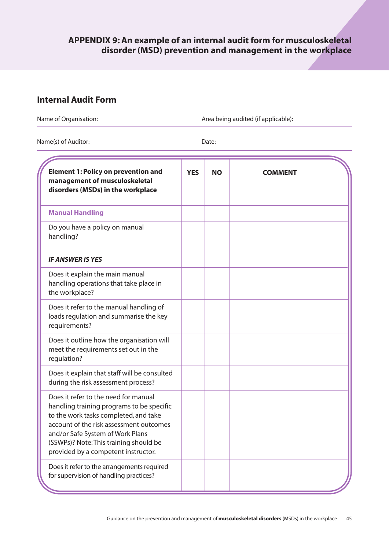# **Internal Audit Form**

Name of Organisation:  $\blacksquare$ 

Name(s) of Auditor: Date:

| <b>Element 1: Policy on prevention and</b><br>management of musculoskeletal<br>disorders (MSDs) in the workplace                                                                                                                                                                           | <b>YES</b> | <b>NO</b> | <b>COMMENT</b> |
|--------------------------------------------------------------------------------------------------------------------------------------------------------------------------------------------------------------------------------------------------------------------------------------------|------------|-----------|----------------|
|                                                                                                                                                                                                                                                                                            |            |           |                |
| <b>Manual Handling</b>                                                                                                                                                                                                                                                                     |            |           |                |
| Do you have a policy on manual<br>handling?                                                                                                                                                                                                                                                |            |           |                |
| <b>IF ANSWER IS YES</b>                                                                                                                                                                                                                                                                    |            |           |                |
| Does it explain the main manual<br>handling operations that take place in<br>the workplace?                                                                                                                                                                                                |            |           |                |
| Does it refer to the manual handling of<br>loads regulation and summarise the key<br>requirements?                                                                                                                                                                                         |            |           |                |
| Does it outline how the organisation will<br>meet the requirements set out in the<br>regulation?                                                                                                                                                                                           |            |           |                |
| Does it explain that staff will be consulted<br>during the risk assessment process?                                                                                                                                                                                                        |            |           |                |
| Does it refer to the need for manual<br>handling training programs to be specific<br>to the work tasks completed, and take<br>account of the risk assessment outcomes<br>and/or Safe System of Work Plans<br>(SSWPs)? Note: This training should be<br>provided by a competent instructor. |            |           |                |
| Does it refer to the arrangements required<br>for supervision of handling practices?                                                                                                                                                                                                       |            |           |                |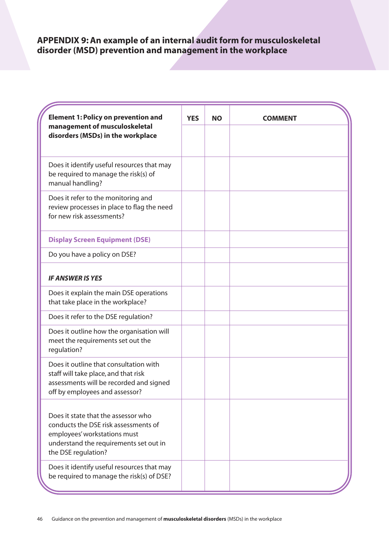| <b>Element 1: Policy on prevention and</b>                                                                                                                                   | <b>YES</b> | <b>NO</b> | <b>COMMENT</b> |
|------------------------------------------------------------------------------------------------------------------------------------------------------------------------------|------------|-----------|----------------|
| management of musculoskeletal<br>disorders (MSDs) in the workplace                                                                                                           |            |           |                |
| Does it identify useful resources that may<br>be required to manage the risk(s) of<br>manual handling?                                                                       |            |           |                |
| Does it refer to the monitoring and<br>review processes in place to flag the need<br>for new risk assessments?                                                               |            |           |                |
| <b>Display Screen Equipment (DSE)</b>                                                                                                                                        |            |           |                |
| Do you have a policy on DSE?                                                                                                                                                 |            |           |                |
| <b>IF ANSWER IS YES</b>                                                                                                                                                      |            |           |                |
| Does it explain the main DSE operations<br>that take place in the workplace?                                                                                                 |            |           |                |
| Does it refer to the DSE regulation?                                                                                                                                         |            |           |                |
| Does it outline how the organisation will<br>meet the requirements set out the<br>regulation?                                                                                |            |           |                |
| Does it outline that consultation with<br>staff will take place, and that risk<br>assessments will be recorded and signed<br>off by employees and assessor?                  |            |           |                |
| Does it state that the assessor who<br>conducts the DSE risk assessments of<br>employees' workstations must<br>understand the requirements set out in<br>the DSE regulation? |            |           |                |
| Does it identify useful resources that may<br>be required to manage the risk(s) of DSE?                                                                                      |            |           |                |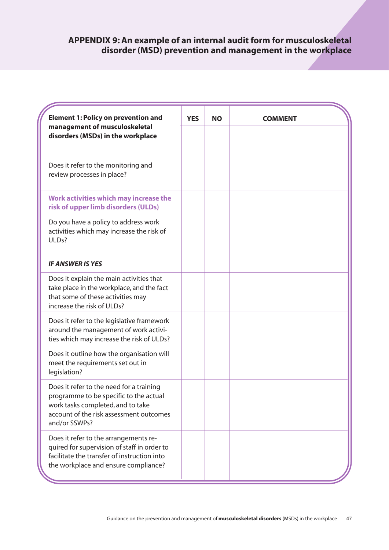| <b>Element 1: Policy on prevention and</b>                                                                                                                                          | <b>YES</b> | <b>NO</b> | <b>COMMENT</b> |
|-------------------------------------------------------------------------------------------------------------------------------------------------------------------------------------|------------|-----------|----------------|
| management of musculoskeletal<br>disorders (MSDs) in the workplace                                                                                                                  |            |           |                |
| Does it refer to the monitoring and<br>review processes in place?                                                                                                                   |            |           |                |
| Work activities which may increase the<br>risk of upper limb disorders (ULDs)                                                                                                       |            |           |                |
| Do you have a policy to address work<br>activities which may increase the risk of<br>ULDs?                                                                                          |            |           |                |
| <b>IF ANSWER IS YES</b>                                                                                                                                                             |            |           |                |
| Does it explain the main activities that<br>take place in the workplace, and the fact<br>that some of these activities may<br>increase the risk of ULDs?                            |            |           |                |
| Does it refer to the legislative framework<br>around the management of work activi-<br>ties which may increase the risk of ULDs?                                                    |            |           |                |
| Does it outline how the organisation will<br>meet the requirements set out in<br>legislation?                                                                                       |            |           |                |
| Does it refer to the need for a training<br>programme to be specific to the actual<br>work tasks completed, and to take<br>account of the risk assessment outcomes<br>and/or SSWPs? |            |           |                |
| Does it refer to the arrangements re-<br>quired for supervision of staff in order to<br>facilitate the transfer of instruction into<br>the workplace and ensure compliance?         |            |           |                |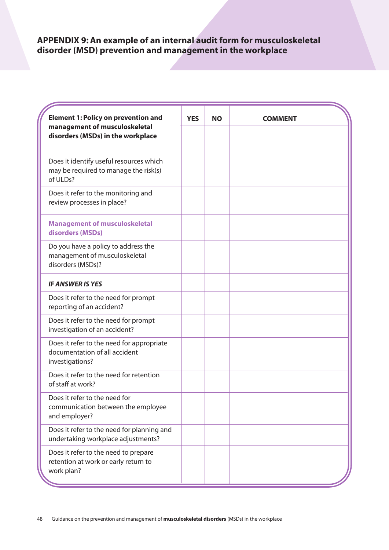| <b>Element 1: Policy on prevention and</b>                                                    | <b>YES</b> | <b>NO</b> | <b>COMMENT</b> |
|-----------------------------------------------------------------------------------------------|------------|-----------|----------------|
| management of musculoskeletal<br>disorders (MSDs) in the workplace                            |            |           |                |
| Does it identify useful resources which<br>may be required to manage the risk(s)<br>of ULDs?  |            |           |                |
| Does it refer to the monitoring and<br>review processes in place?                             |            |           |                |
| <b>Management of musculoskeletal</b><br>disorders (MSDs)                                      |            |           |                |
| Do you have a policy to address the<br>management of musculoskeletal<br>disorders (MSDs)?     |            |           |                |
| <b>IF ANSWER IS YES</b>                                                                       |            |           |                |
| Does it refer to the need for prompt<br>reporting of an accident?                             |            |           |                |
| Does it refer to the need for prompt<br>investigation of an accident?                         |            |           |                |
| Does it refer to the need for appropriate<br>documentation of all accident<br>investigations? |            |           |                |
| Does it refer to the need for retention<br>of staff at work?                                  |            |           |                |
| Does it refer to the need for<br>communication between the employee<br>and employer?          |            |           |                |
| Does it refer to the need for planning and<br>undertaking workplace adjustments?              |            |           |                |
| Does it refer to the need to prepare<br>retention at work or early return to<br>work plan?    |            |           |                |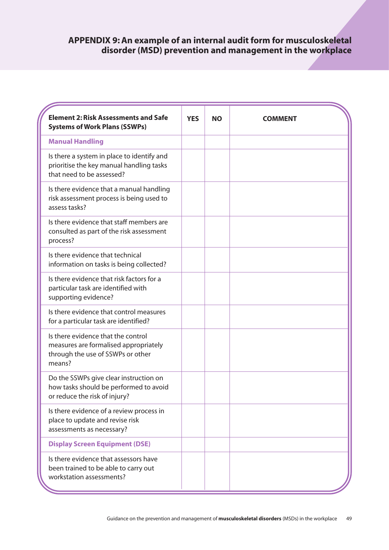| <b>Element 2: Risk Assessments and Safe</b><br><b>Systems of Work Plans (SSWPs)</b>                                        | <b>YES</b> | <b>NO</b> | <b>COMMENT</b> |
|----------------------------------------------------------------------------------------------------------------------------|------------|-----------|----------------|
| <b>Manual Handling</b>                                                                                                     |            |           |                |
| Is there a system in place to identify and<br>prioritise the key manual handling tasks<br>that need to be assessed?        |            |           |                |
| Is there evidence that a manual handling<br>risk assessment process is being used to<br>assess tasks?                      |            |           |                |
| Is there evidence that staff members are<br>consulted as part of the risk assessment<br>process?                           |            |           |                |
| Is there evidence that technical<br>information on tasks is being collected?                                               |            |           |                |
| Is there evidence that risk factors for a<br>particular task are identified with<br>supporting evidence?                   |            |           |                |
| Is there evidence that control measures<br>for a particular task are identified?                                           |            |           |                |
| Is there evidence that the control<br>measures are formalised appropriately<br>through the use of SSWPs or other<br>means? |            |           |                |
| Do the SSWPs give clear instruction on<br>how tasks should be performed to avoid<br>or reduce the risk of injury?          |            |           |                |
| Is there evidence of a review process in<br>place to update and revise risk<br>assessments as necessary?                   |            |           |                |
| <b>Display Screen Equipment (DSE)</b>                                                                                      |            |           |                |
| Is there evidence that assessors have<br>been trained to be able to carry out<br>workstation assessments?                  |            |           |                |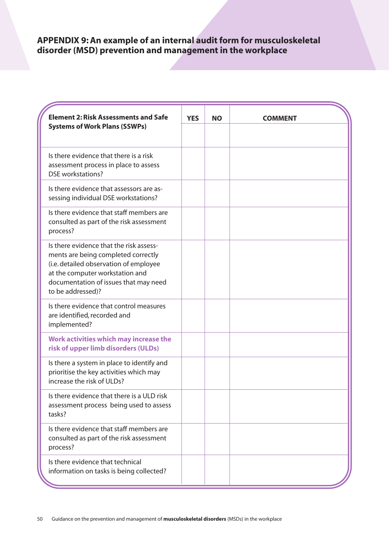| <b>Element 2: Risk Assessments and Safe</b><br><b>Systems of Work Plans (SSWPs)</b>                                                                                                                                       | <b>YES</b> | <b>NO</b> | <b>COMMENT</b> |
|---------------------------------------------------------------------------------------------------------------------------------------------------------------------------------------------------------------------------|------------|-----------|----------------|
| Is there evidence that there is a risk<br>assessment process in place to assess<br><b>DSE</b> workstations?                                                                                                               |            |           |                |
| Is there evidence that assessors are as-<br>sessing individual DSE workstations?                                                                                                                                          |            |           |                |
| Is there evidence that staff members are<br>consulted as part of the risk assessment<br>process?                                                                                                                          |            |           |                |
| Is there evidence that the risk assess-<br>ments are being completed correctly<br>(i.e. detailed observation of employee<br>at the computer workstation and<br>documentation of issues that may need<br>to be addressed)? |            |           |                |
| Is there evidence that control measures<br>are identified, recorded and<br>implemented?                                                                                                                                   |            |           |                |
| Work activities which may increase the<br>risk of upper limb disorders (ULDs)                                                                                                                                             |            |           |                |
| Is there a system in place to identify and<br>prioritise the key activities which may<br>increase the risk of ULDs?                                                                                                       |            |           |                |
| Is there evidence that there is a ULD risk<br>assessment process being used to assess<br>tasks?                                                                                                                           |            |           |                |
| Is there evidence that staff members are<br>consulted as part of the risk assessment<br>process?                                                                                                                          |            |           |                |
| Is there evidence that technical<br>information on tasks is being collected?                                                                                                                                              |            |           |                |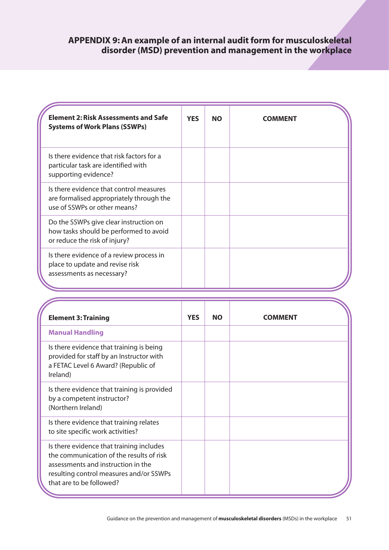| <b>Element 2: Risk Assessments and Safe</b><br><b>Systems of Work Plans (SSWPs)</b>                                 | <b>YES</b> | <b>NO</b> | <b>COMMENT</b> |
|---------------------------------------------------------------------------------------------------------------------|------------|-----------|----------------|
| Is there evidence that risk factors for a<br>particular task are identified with<br>supporting evidence?            |            |           |                |
| Is there evidence that control measures<br>are formalised appropriately through the<br>use of SSWPs or other means? |            |           |                |
| Do the SSWPs give clear instruction on<br>how tasks should be performed to avoid<br>or reduce the risk of injury?   |            |           |                |
| Is there evidence of a review process in<br>place to update and revise risk<br>assessments as necessary?            |            |           |                |

| <b>Element 3: Training</b>                                                                                                                                                                        | <b>YES</b> | <b>NO</b> | <b>COMMENT</b> |
|---------------------------------------------------------------------------------------------------------------------------------------------------------------------------------------------------|------------|-----------|----------------|
| <b>Manual Handling</b>                                                                                                                                                                            |            |           |                |
| Is there evidence that training is being<br>provided for staff by an Instructor with<br>a FETAC Level 6 Award? (Republic of<br>Ireland)                                                           |            |           |                |
| Is there evidence that training is provided<br>by a competent instructor?<br>(Northern Ireland)                                                                                                   |            |           |                |
| Is there evidence that training relates<br>to site specific work activities?                                                                                                                      |            |           |                |
| Is there evidence that training includes<br>the communication of the results of risk<br>assessments and instruction in the<br>resulting control measures and/or SSWPs<br>that are to be followed? |            |           |                |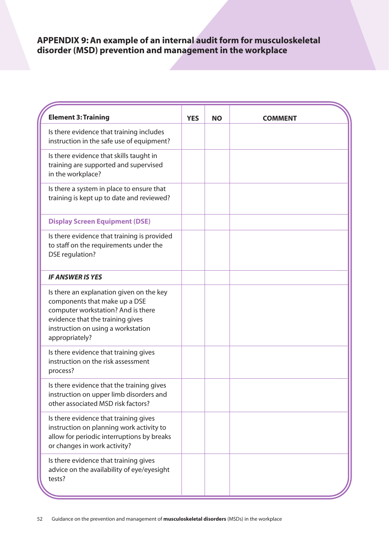| <b>Element 3: Training</b>                                                                                                                                                                                  | <b>YES</b> | <b>NO</b> | <b>COMMENT</b> |
|-------------------------------------------------------------------------------------------------------------------------------------------------------------------------------------------------------------|------------|-----------|----------------|
| Is there evidence that training includes<br>instruction in the safe use of equipment?                                                                                                                       |            |           |                |
| Is there evidence that skills taught in<br>training are supported and supervised<br>in the workplace?                                                                                                       |            |           |                |
| Is there a system in place to ensure that<br>training is kept up to date and reviewed?                                                                                                                      |            |           |                |
| <b>Display Screen Equipment (DSE)</b>                                                                                                                                                                       |            |           |                |
| Is there evidence that training is provided<br>to staff on the requirements under the<br><b>DSE</b> regulation?                                                                                             |            |           |                |
| <b>IF ANSWER IS YES</b>                                                                                                                                                                                     |            |           |                |
| Is there an explanation given on the key<br>components that make up a DSE<br>computer workstation? And is there<br>evidence that the training gives<br>instruction on using a workstation<br>appropriately? |            |           |                |
| Is there evidence that training gives<br>instruction on the risk assessment<br>process?                                                                                                                     |            |           |                |
| Is there evidence that the training gives<br>instruction on upper limb disorders and<br>other associated MSD risk factors?                                                                                  |            |           |                |
| Is there evidence that training gives<br>instruction on planning work activity to<br>allow for periodic interruptions by breaks<br>or changes in work activity?                                             |            |           |                |
| Is there evidence that training gives<br>advice on the availability of eye/eyesight<br>tests?                                                                                                               |            |           |                |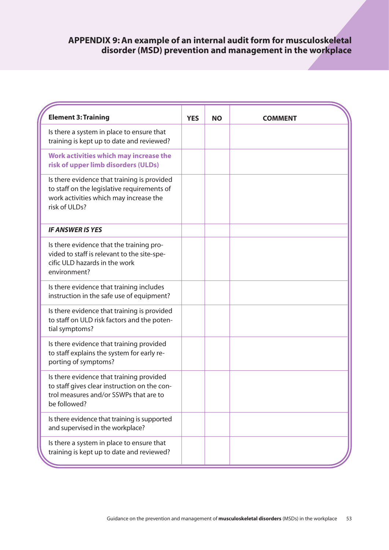| <b>Element 3: Training</b>                                                                                                                            | <b>YES</b> | <b>NO</b> | <b>COMMENT</b> |
|-------------------------------------------------------------------------------------------------------------------------------------------------------|------------|-----------|----------------|
| Is there a system in place to ensure that<br>training is kept up to date and reviewed?                                                                |            |           |                |
| Work activities which may increase the<br>risk of upper limb disorders (ULDs)                                                                         |            |           |                |
| Is there evidence that training is provided<br>to staff on the legislative requirements of<br>work activities which may increase the<br>risk of ULDs? |            |           |                |
| <b>IF ANSWER IS YES</b>                                                                                                                               |            |           |                |
| Is there evidence that the training pro-<br>vided to staff is relevant to the site-spe-<br>cific ULD hazards in the work<br>environment?              |            |           |                |
| Is there evidence that training includes<br>instruction in the safe use of equipment?                                                                 |            |           |                |
| Is there evidence that training is provided<br>to staff on ULD risk factors and the poten-<br>tial symptoms?                                          |            |           |                |
| Is there evidence that training provided<br>to staff explains the system for early re-<br>porting of symptoms?                                        |            |           |                |
| Is there evidence that training provided<br>to staff gives clear instruction on the con-<br>trol measures and/or SSWPs that are to<br>be followed?    |            |           |                |
| Is there evidence that training is supported<br>and supervised in the workplace?                                                                      |            |           |                |
| Is there a system in place to ensure that<br>training is kept up to date and reviewed?                                                                |            |           |                |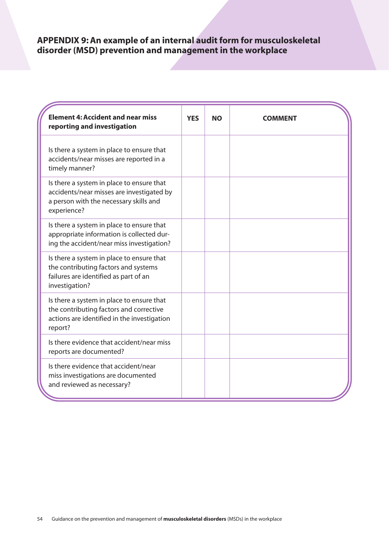| <b>Element 4: Accident and near miss</b><br>reporting and investigation                                                                         | <b>YES</b> | <b>NO</b> | <b>COMMENT</b> |
|-------------------------------------------------------------------------------------------------------------------------------------------------|------------|-----------|----------------|
| Is there a system in place to ensure that<br>accidents/near misses are reported in a<br>timely manner?                                          |            |           |                |
| Is there a system in place to ensure that<br>accidents/near misses are investigated by<br>a person with the necessary skills and<br>experience? |            |           |                |
| Is there a system in place to ensure that<br>appropriate information is collected dur-<br>ing the accident/near miss investigation?             |            |           |                |
| Is there a system in place to ensure that<br>the contributing factors and systems<br>failures are identified as part of an<br>investigation?    |            |           |                |
| Is there a system in place to ensure that<br>the contributing factors and corrective<br>actions are identified in the investigation<br>report?  |            |           |                |
| Is there evidence that accident/near miss<br>reports are documented?                                                                            |            |           |                |
| Is there evidence that accident/near<br>miss investigations are documented<br>and reviewed as necessary?                                        |            |           |                |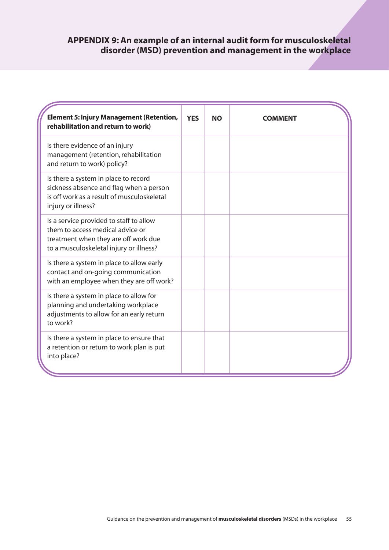| <b>Element 5: Injury Management (Retention,</b><br>rehabilitation and return to work)                                                                          | <b>YES</b> | <b>NO</b> | COMMENT |
|----------------------------------------------------------------------------------------------------------------------------------------------------------------|------------|-----------|---------|
| Is there evidence of an injury<br>management (retention, rehabilitation<br>and return to work) policy?                                                         |            |           |         |
| Is there a system in place to record<br>sickness absence and flag when a person<br>is off work as a result of musculoskeletal<br>injury or illness?            |            |           |         |
| Is a service provided to staff to allow<br>them to access medical advice or<br>treatment when they are off work due<br>to a musculoskeletal injury or illness? |            |           |         |
| Is there a system in place to allow early<br>contact and on-going communication<br>with an employee when they are off work?                                    |            |           |         |
| Is there a system in place to allow for<br>planning and undertaking workplace<br>adjustments to allow for an early return<br>to work?                          |            |           |         |
| Is there a system in place to ensure that<br>a retention or return to work plan is put<br>into place?                                                          |            |           |         |